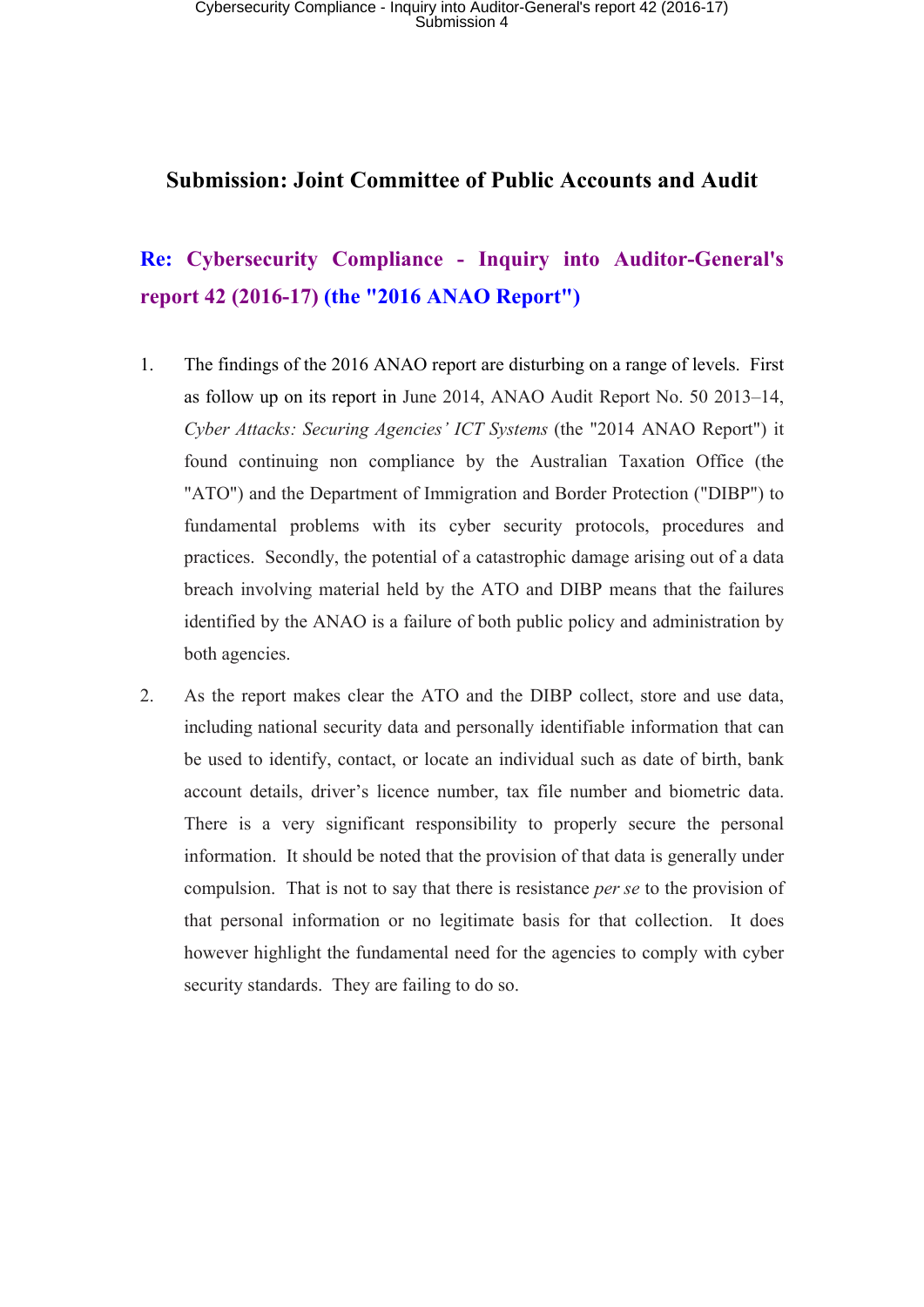#### **Submission: Joint Committee of Public Accounts and Audit**

### **Re: Cybersecurity Compliance - Inquiry into Auditor-General's report 42 (2016-17) (the "2016 ANAO Report")**

- 1. The findings of the 2016 ANAO report are disturbing on a range of levels. First as follow up on its report in June 2014, ANAO Audit Report No. 50 2013–14, *Cyber Attacks: Securing Agencies' ICT Systems* (the "2014 ANAO Report") it found continuing non compliance by the Australian Taxation Office (the "ATO") and the Department of Immigration and Border Protection ("DIBP") to fundamental problems with its cyber security protocols, procedures and practices. Secondly, the potential of a catastrophic damage arising out of a data breach involving material held by the ATO and DIBP means that the failures identified by the ANAO is a failure of both public policy and administration by both agencies.
- 2. As the report makes clear the ATO and the DIBP collect, store and use data, including national security data and personally identifiable information that can be used to identify, contact, or locate an individual such as date of birth, bank account details, driver's licence number, tax file number and biometric data. There is a very significant responsibility to properly secure the personal information. It should be noted that the provision of that data is generally under compulsion. That is not to say that there is resistance *per se* to the provision of that personal information or no legitimate basis for that collection. It does however highlight the fundamental need for the agencies to comply with cyber security standards. They are failing to do so.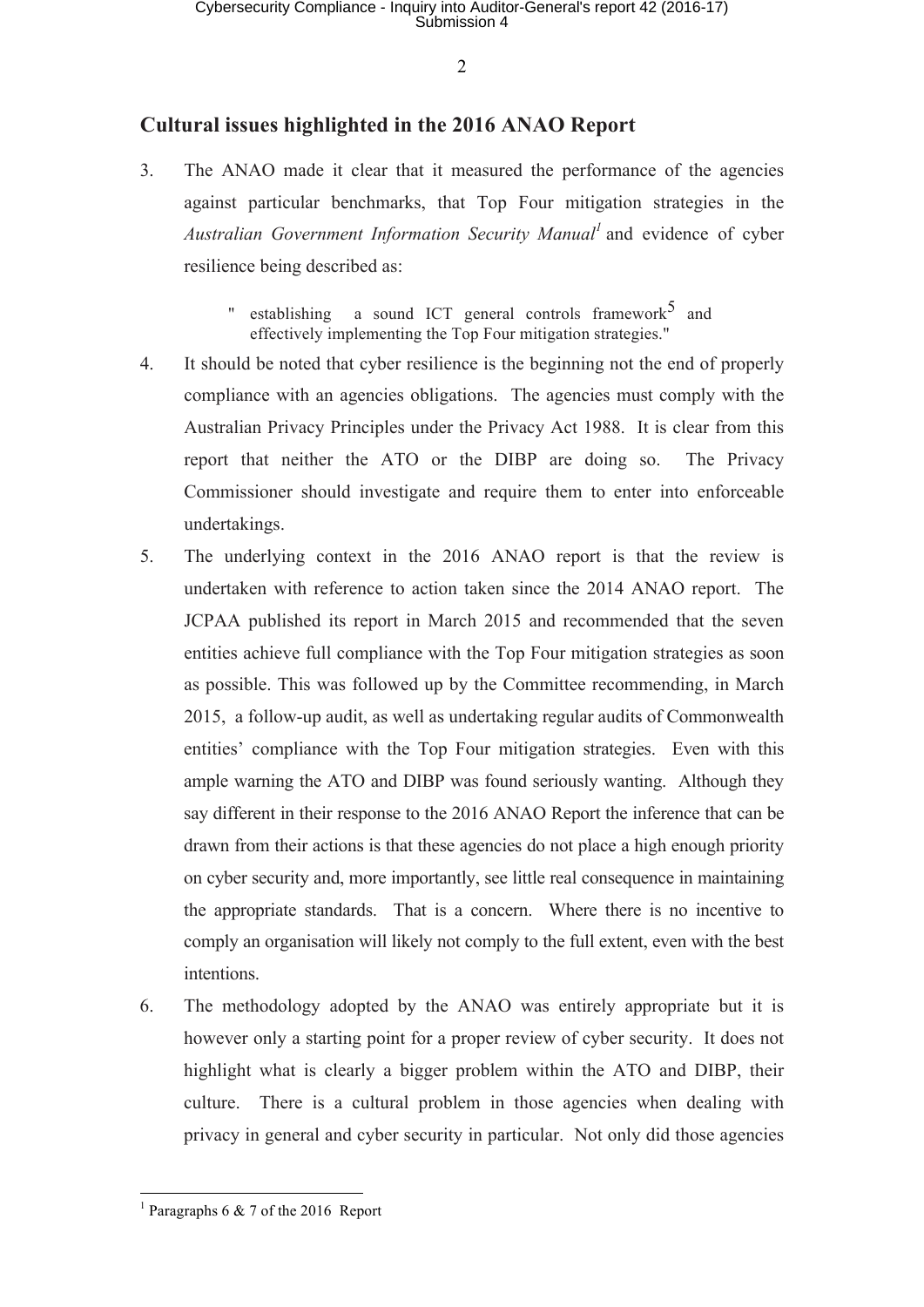### **Cultural issues highlighted in the 2016 ANAO Report**

3. The ANAO made it clear that it measured the performance of the agencies against particular benchmarks, that Top Four mitigation strategies in the *Australian Government Information Security Manual<sup>1</sup>* and evidence of cyber resilience being described as:

> " establishing a sound ICT general controls framework<sup>5</sup> and effectively implementing the Top Four mitigation strategies."

- 4. It should be noted that cyber resilience is the beginning not the end of properly compliance with an agencies obligations. The agencies must comply with the Australian Privacy Principles under the Privacy Act 1988. It is clear from this report that neither the ATO or the DIBP are doing so. The Privacy Commissioner should investigate and require them to enter into enforceable undertakings.
- 5. The underlying context in the 2016 ANAO report is that the review is undertaken with reference to action taken since the 2014 ANAO report. The JCPAA published its report in March 2015 and recommended that the seven entities achieve full compliance with the Top Four mitigation strategies as soon as possible. This was followed up by the Committee recommending, in March 2015, a follow-up audit, as well as undertaking regular audits of Commonwealth entities' compliance with the Top Four mitigation strategies. Even with this ample warning the ATO and DIBP was found seriously wanting. Although they say different in their response to the 2016 ANAO Report the inference that can be drawn from their actions is that these agencies do not place a high enough priority on cyber security and, more importantly, see little real consequence in maintaining the appropriate standards. That is a concern. Where there is no incentive to comply an organisation will likely not comply to the full extent, even with the best intentions.
- 6. The methodology adopted by the ANAO was entirely appropriate but it is however only a starting point for a proper review of cyber security. It does not highlight what is clearly a bigger problem within the ATO and DIBP, their culture. There is a cultural problem in those agencies when dealing with privacy in general and cyber security in particular. Not only did those agencies

 $\overline{a}$ <sup>1</sup> Paragraphs 6  $\&$  7 of the 2016 Report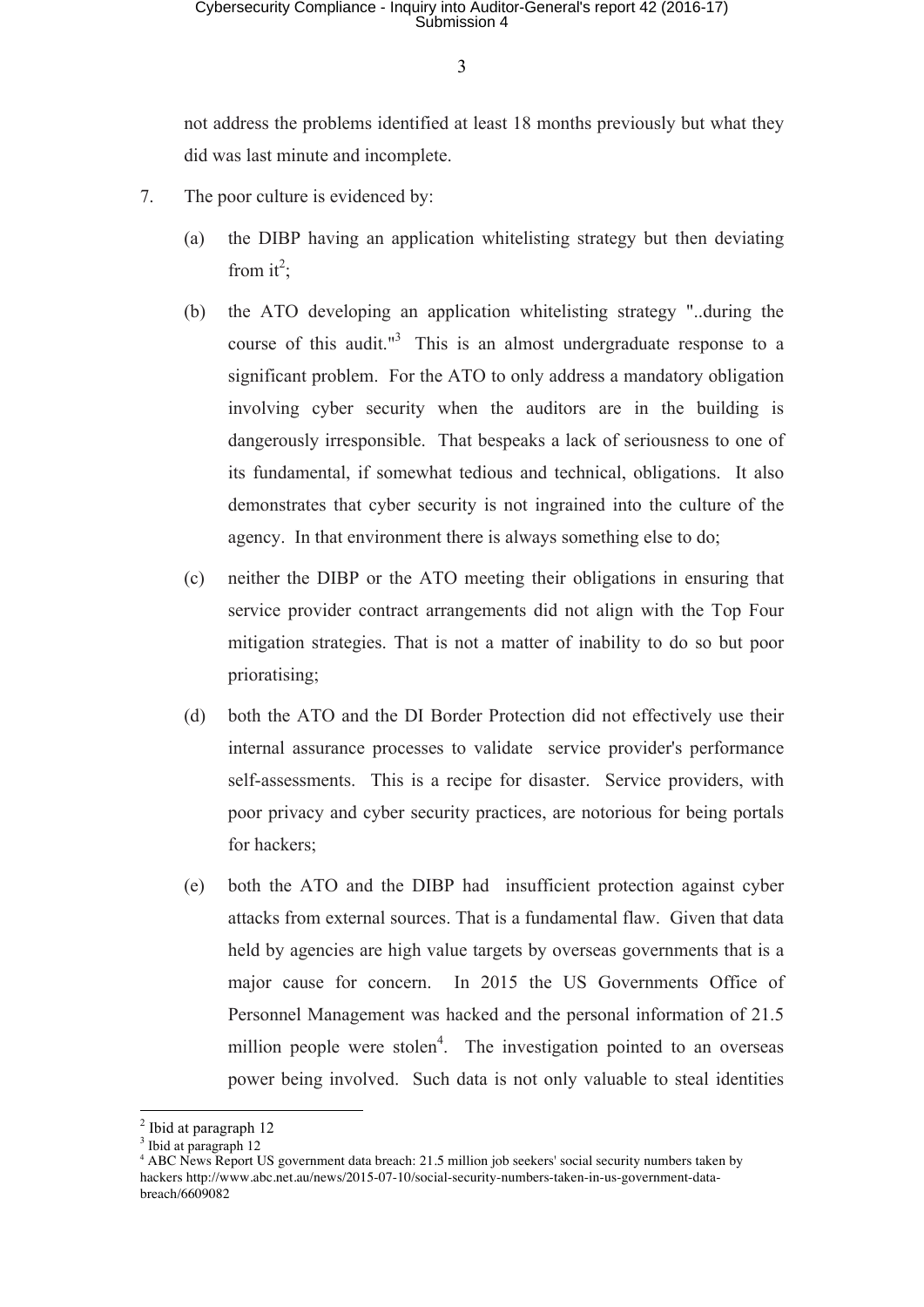## Cybersecurity Compliance - Inquiry into Auditor-General's report 42 (2016-17) Submission 4

3

not address the problems identified at least 18 months previously but what they did was last minute and incomplete.

- 7. The poor culture is evidenced by:
	- (a) the DIBP having an application whitelisting strategy but then deviating from it<sup>2</sup>;
	- (b) the ATO developing an application whitelisting strategy "..during the course of this audit."<sup>3</sup> This is an almost undergraduate response to a significant problem. For the ATO to only address a mandatory obligation involving cyber security when the auditors are in the building is dangerously irresponsible. That bespeaks a lack of seriousness to one of its fundamental, if somewhat tedious and technical, obligations. It also demonstrates that cyber security is not ingrained into the culture of the agency. In that environment there is always something else to do;
	- (c) neither the DIBP or the ATO meeting their obligations in ensuring that service provider contract arrangements did not align with the Top Four mitigation strategies. That is not a matter of inability to do so but poor prioratising;
	- (d) both the ATO and the DI Border Protection did not effectively use their internal assurance processes to validate service provider's performance self-assessments. This is a recipe for disaster. Service providers, with poor privacy and cyber security practices, are notorious for being portals for hackers;
	- (e) both the ATO and the DIBP had insufficient protection against cyber attacks from external sources. That is a fundamental flaw. Given that data held by agencies are high value targets by overseas governments that is a major cause for concern. In 2015 the US Governments Office of Personnel Management was hacked and the personal information of 21.5 million people were stolen<sup>4</sup>. The investigation pointed to an overseas power being involved. Such data is not only valuable to steal identities

 $<sup>2</sup>$  Ibid at paragraph 12</sup>

<sup>&</sup>lt;sup>3</sup> Ibid at paragraph 12

<sup>4</sup> ABC News Report US government data breach: 21.5 million job seekers' social security numbers taken by hackers http://www.abc.net.au/news/2015-07-10/social-security-numbers-taken-in-us-government-databreach/6609082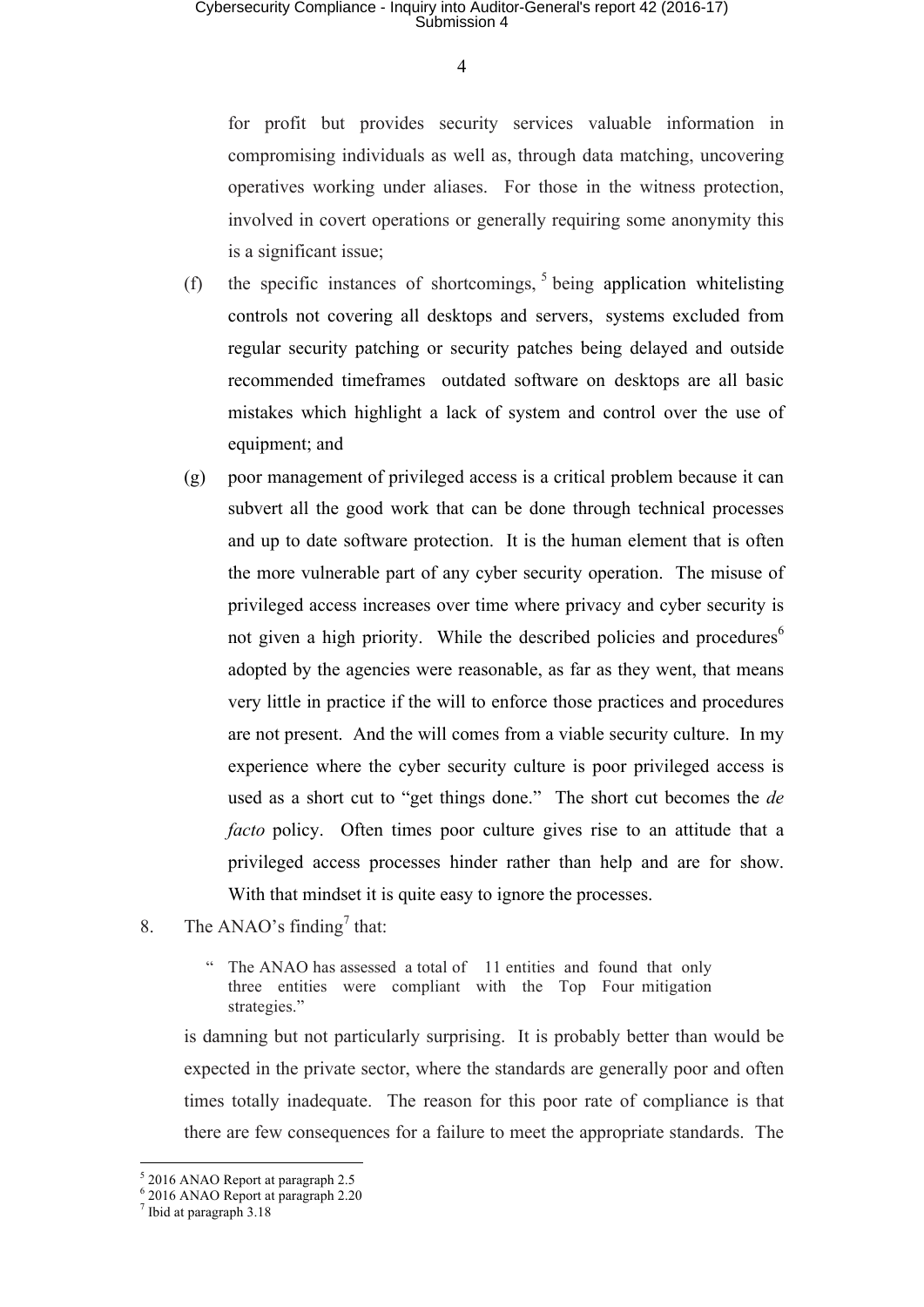for profit but provides security services valuable information in compromising individuals as well as, through data matching, uncovering operatives working under aliases. For those in the witness protection, involved in covert operations or generally requiring some anonymity this is a significant issue;

- (f) the specific instances of shortcomings,  $5$  being application whitelisting controls not covering all desktops and servers, systems excluded from regular security patching or security patches being delayed and outside recommended timeframes outdated software on desktops are all basic mistakes which highlight a lack of system and control over the use of equipment; and
- (g) poor management of privileged access is a critical problem because it can subvert all the good work that can be done through technical processes and up to date software protection. It is the human element that is often the more vulnerable part of any cyber security operation. The misuse of privileged access increases over time where privacy and cyber security is not given a high priority. While the described policies and procedures<sup>6</sup> adopted by the agencies were reasonable, as far as they went, that means very little in practice if the will to enforce those practices and procedures are not present. And the will comes from a viable security culture. In my experience where the cyber security culture is poor privileged access is used as a short cut to "get things done." The short cut becomes the *de facto* policy. Often times poor culture gives rise to an attitude that a privileged access processes hinder rather than help and are for show. With that mindset it is quite easy to ignore the processes.
- 8. The ANAO's finding<sup>7</sup> that:
	- The ANAO has assessed a total of 11 entities and found that only three entities were compliant with the Top Four mitigation strategies."

 is damning but not particularly surprising. It is probably better than would be expected in the private sector, where the standards are generally poor and often times totally inadequate. The reason for this poor rate of compliance is that there are few consequences for a failure to meet the appropriate standards. The

<sup>5</sup> 2016 ANAO Report at paragraph 2.5

 $^6$  2016 ANAO Report at paragraph 2.20<br>  $^7$  Ibid at paragraph 3.18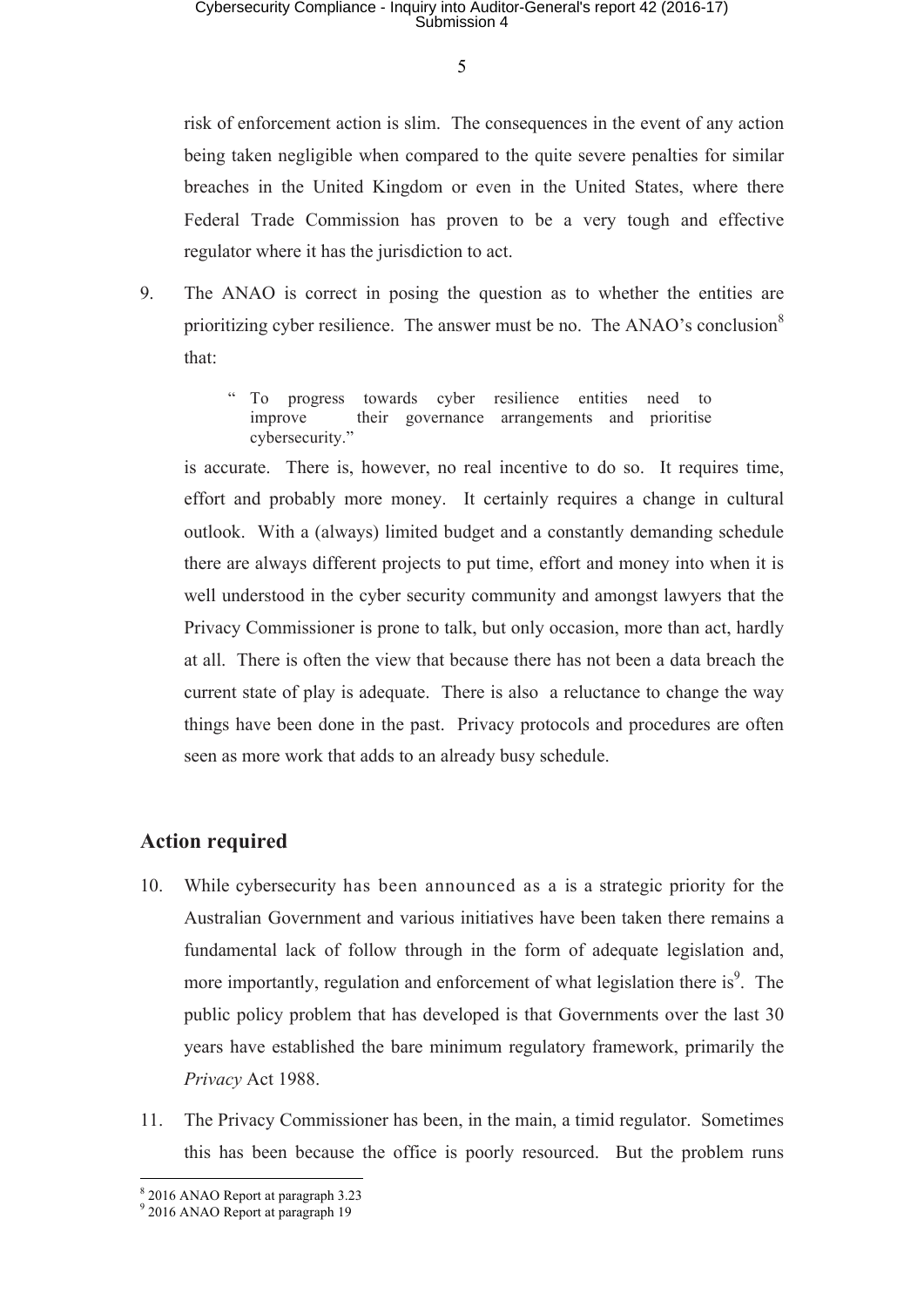risk of enforcement action is slim. The consequences in the event of any action being taken negligible when compared to the quite severe penalties for similar breaches in the United Kingdom or even in the United States, where there Federal Trade Commission has proven to be a very tough and effective regulator where it has the jurisdiction to act.

- 9. The ANAO is correct in posing the question as to whether the entities are prioritizing cyber resilience. The answer must be no. The ANAO's conclusion<sup>8</sup> that:
	- " To progress towards cyber resilience entities need to improve their governance arrangements and prioritise cybersecurity."

 is accurate. There is, however, no real incentive to do so. It requires time, effort and probably more money. It certainly requires a change in cultural outlook. With a (always) limited budget and a constantly demanding schedule there are always different projects to put time, effort and money into when it is well understood in the cyber security community and amongst lawyers that the Privacy Commissioner is prone to talk, but only occasion, more than act, hardly at all. There is often the view that because there has not been a data breach the current state of play is adequate. There is also a reluctance to change the way things have been done in the past. Privacy protocols and procedures are often seen as more work that adds to an already busy schedule.

#### **Action required**

- 10. While cybersecurity has been announced as a is a strategic priority for the Australian Government and various initiatives have been taken there remains a fundamental lack of follow through in the form of adequate legislation and, more importantly, regulation and enforcement of what legislation there is<sup>9</sup>. The public policy problem that has developed is that Governments over the last 30 years have established the bare minimum regulatory framework, primarily the *Privacy* Act 1988.
- 11. The Privacy Commissioner has been, in the main, a timid regulator. Sometimes this has been because the office is poorly resourced. But the problem runs

<sup>8</sup> 2016 ANAO Report at paragraph 3.23

<sup>9</sup> 2016 ANAO Report at paragraph 19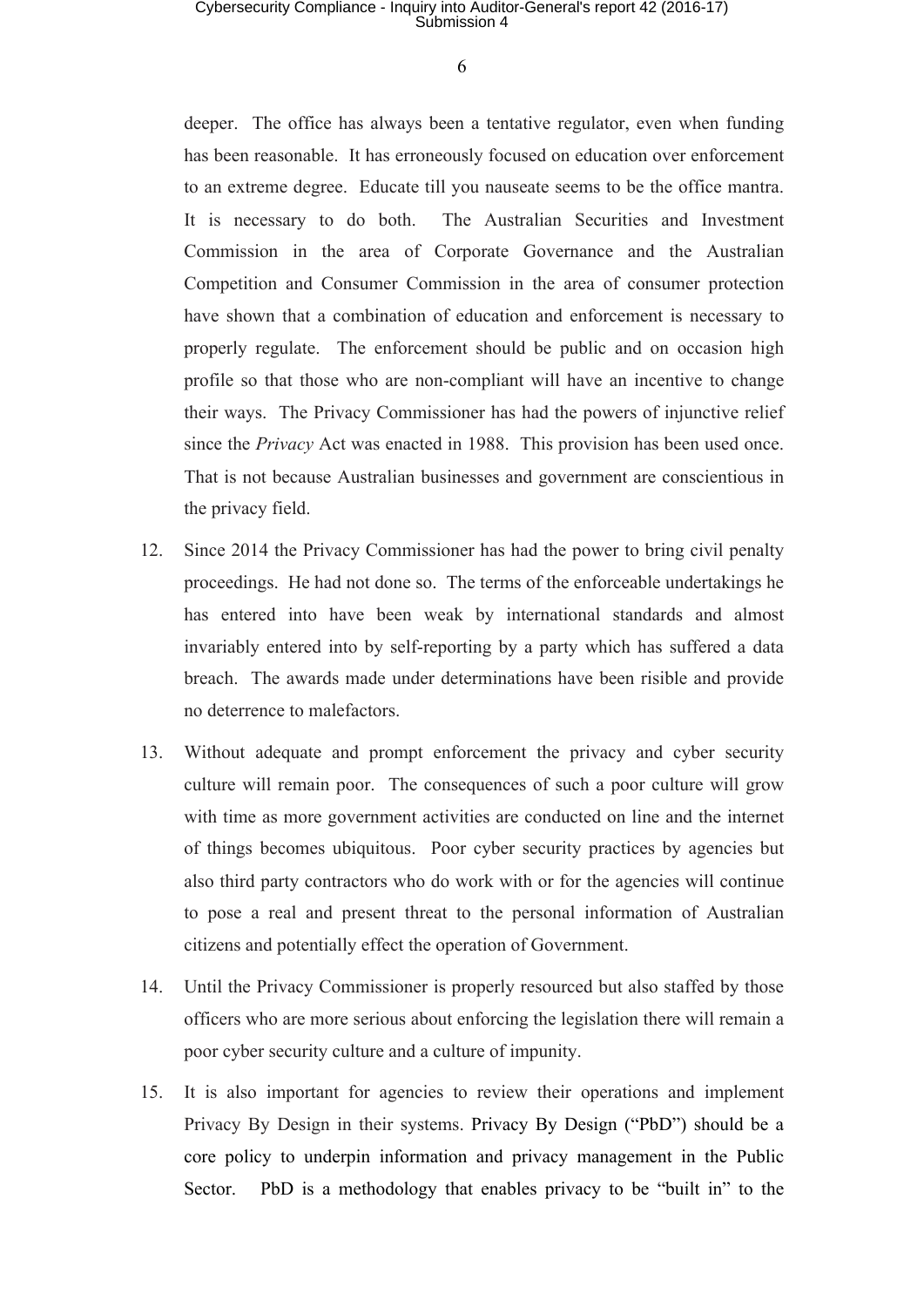### Cybersecurity Compliance - Inquiry into Auditor-General's report 42 (2016-17) Submission 4

6

deeper. The office has always been a tentative regulator, even when funding has been reasonable. It has erroneously focused on education over enforcement to an extreme degree. Educate till you nauseate seems to be the office mantra. It is necessary to do both. The Australian Securities and Investment Commission in the area of Corporate Governance and the Australian Competition and Consumer Commission in the area of consumer protection have shown that a combination of education and enforcement is necessary to properly regulate. The enforcement should be public and on occasion high profile so that those who are non-compliant will have an incentive to change their ways. The Privacy Commissioner has had the powers of injunctive relief since the *Privacy* Act was enacted in 1988. This provision has been used once. That is not because Australian businesses and government are conscientious in the privacy field.

- 12. Since 2014 the Privacy Commissioner has had the power to bring civil penalty proceedings. He had not done so. The terms of the enforceable undertakings he has entered into have been weak by international standards and almost invariably entered into by self-reporting by a party which has suffered a data breach. The awards made under determinations have been risible and provide no deterrence to malefactors.
- 13. Without adequate and prompt enforcement the privacy and cyber security culture will remain poor. The consequences of such a poor culture will grow with time as more government activities are conducted on line and the internet of things becomes ubiquitous. Poor cyber security practices by agencies but also third party contractors who do work with or for the agencies will continue to pose a real and present threat to the personal information of Australian citizens and potentially effect the operation of Government.
- 14. Until the Privacy Commissioner is properly resourced but also staffed by those officers who are more serious about enforcing the legislation there will remain a poor cyber security culture and a culture of impunity.
- 15. It is also important for agencies to review their operations and implement Privacy By Design in their systems. Privacy By Design ("PbD") should be a core policy to underpin information and privacy management in the Public Sector. PbD is a methodology that enables privacy to be "built in" to the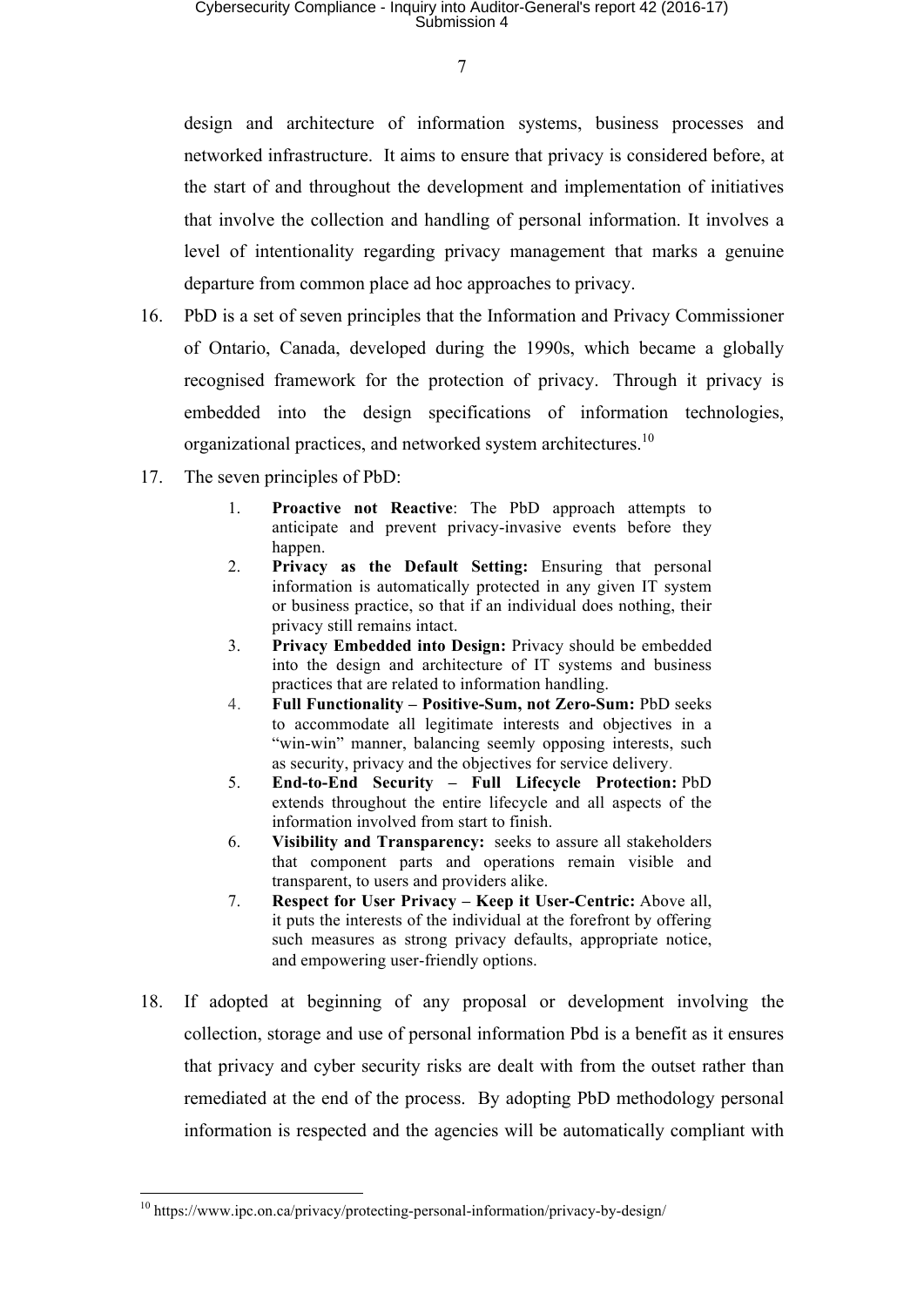design and architecture of information systems, business processes and networked infrastructure. It aims to ensure that privacy is considered before, at the start of and throughout the development and implementation of initiatives that involve the collection and handling of personal information. It involves a level of intentionality regarding privacy management that marks a genuine departure from common place ad hoc approaches to privacy.

- 16. PbD is a set of seven principles that the Information and Privacy Commissioner of Ontario, Canada, developed during the 1990s, which became a globally recognised framework for the protection of privacy. Through it privacy is embedded into the design specifications of information technologies, organizational practices, and networked system architectures.<sup>10</sup>
- 17. The seven principles of PbD:
	- 1. **Proactive not Reactive**: The PbD approach attempts to anticipate and prevent privacy-invasive events before they happen.
	- 2. **Privacy as the Default Setting:** Ensuring that personal information is automatically protected in any given IT system or business practice, so that if an individual does nothing, their privacy still remains intact.
	- 3. **Privacy Embedded into Design:** Privacy should be embedded into the design and architecture of IT systems and business practices that are related to information handling.
	- 4. **Full Functionality Positive-Sum, not Zero-Sum:** PbD seeks to accommodate all legitimate interests and objectives in a "win-win" manner, balancing seemly opposing interests, such as security, privacy and the objectives for service delivery.
	- 5. **End-to-End Security Full Lifecycle Protection:** PbD extends throughout the entire lifecycle and all aspects of the information involved from start to finish.
	- 6. **Visibility and Transparency:** seeks to assure all stakeholders that component parts and operations remain visible and transparent, to users and providers alike.
	- 7. **Respect for User Privacy Keep it User-Centric:** Above all, it puts the interests of the individual at the forefront by offering such measures as strong privacy defaults, appropriate notice, and empowering user-friendly options.
- 18. If adopted at beginning of any proposal or development involving the collection, storage and use of personal information Pbd is a benefit as it ensures that privacy and cyber security risks are dealt with from the outset rather than remediated at the end of the process. By adopting PbD methodology personal information is respected and the agencies will be automatically compliant with

<sup>&</sup>lt;sup>10</sup> https://www.ipc.on.ca/privacy/protecting-personal-information/privacy-by-design/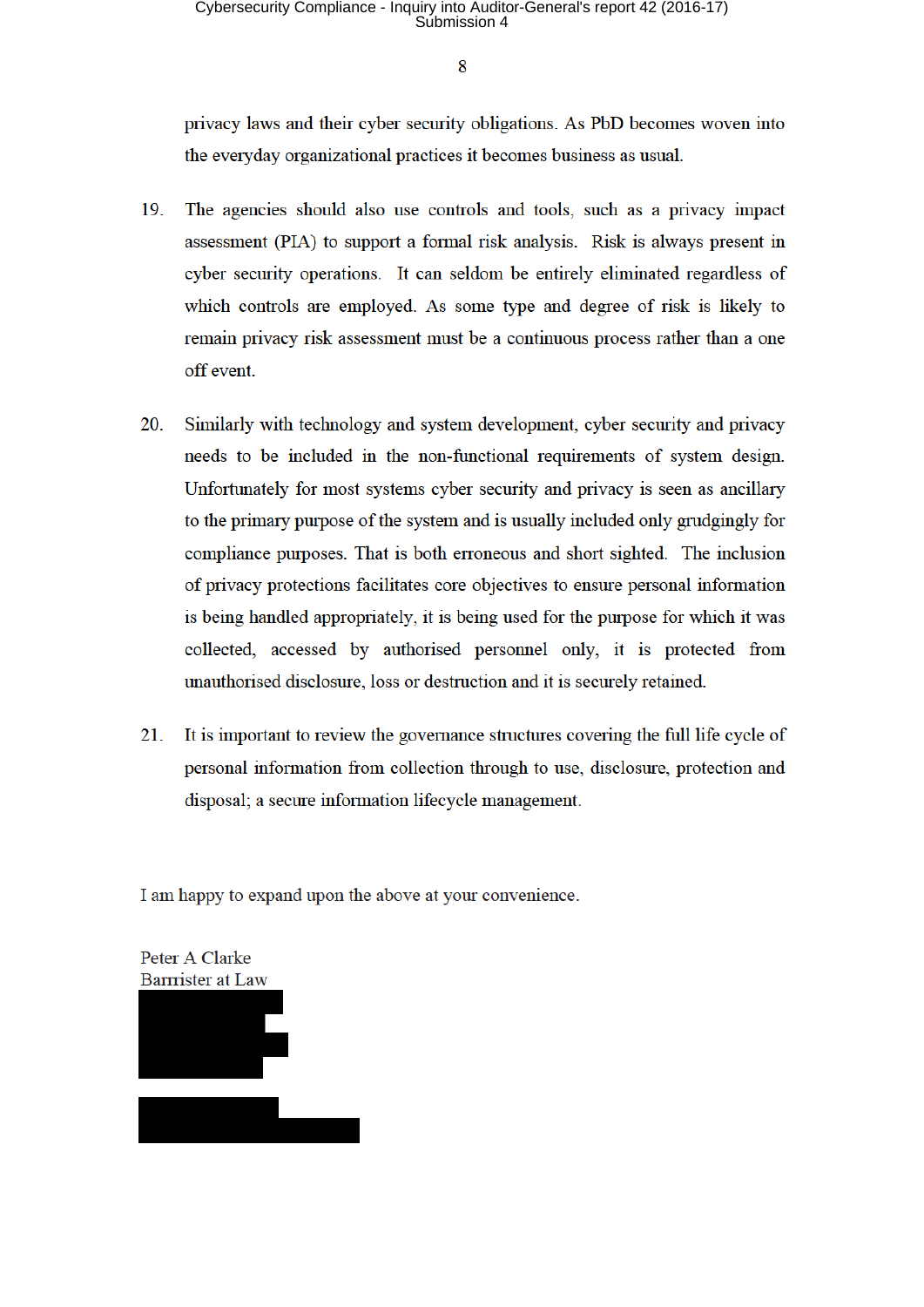privacy laws and their cyber security obligations. As PbD becomes woven into the everyday organizational practices it becomes business as usual.

- 19. The agencies should also use controls and tools, such as a privacy impact assessment (PIA) to support a formal risk analysis. Risk is always present in cyber security operations. It can seldom be entirely eliminated regardless of which controls are employed. As some type and degree of risk is likely to remain privacy risk assessment must be a continuous process rather than a one off event.
- 20. Similarly with technology and system development, cyber security and privacy needs to be included in the non-functional requirements of system design. Unfortunately for most systems evber security and privacy is seen as ancillary to the primary purpose of the system and is usually included only grudgingly for compliance purposes. That is both erroneous and short sighted. The inclusion of privacy protections facilitates core objectives to ensure personal information is being handled appropriately, it is being used for the purpose for which it was collected, accessed by authorised personnel only, it is protected from unauthorised disclosure, loss or destruction and it is securely retained.
- 21. It is important to review the governance structures covering the full life cycle of personal information from collection through to use, disclosure, protection and disposal; a secure information lifecycle management.

I am happy to expand upon the above at your convenience.

Peter A Clarke **Barrrister at Law**